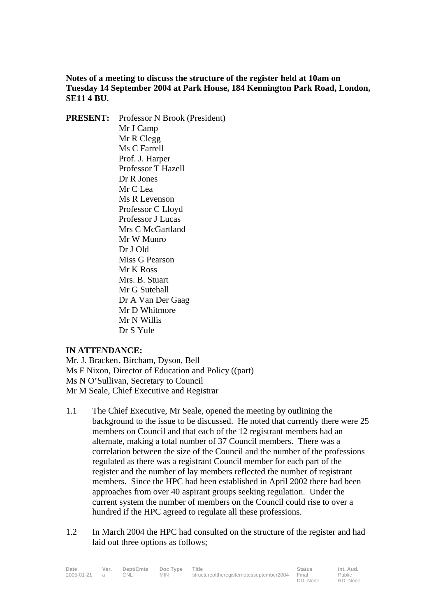**Notes of a meeting to discuss the structure of the register held at 10am on Tuesday 14 September 2004 at Park House, 184 Kennington Park Road, London, SE11 4 BU.** 

**PRESENT:** Professor N Brook (President) Mr J Camp Mr R Clegg Ms C Farrell Prof. J. Harper Professor T Hazell Dr R Jones Mr C Lea Ms R Levenson Professor C Lloyd Professor J Lucas Mrs C McGartland Mr W Munro Dr J Old Miss G Pearson Mr K Ross Mrs. B. Stuart Mr G Sutehall Dr A Van Der Gaag Mr D Whitmore Mr N Willis Dr S Yule

## **IN ATTENDANCE:**

Mr. J. Bracken, Bircham, Dyson, Bell Ms F Nixon, Director of Education and Policy ((part) Ms N O'Sullivan, Secretary to Council Mr M Seale, Chief Executive and Registrar

- 1.1 The Chief Executive, Mr Seale, opened the meeting by outlining the background to the issue to be discussed. He noted that currently there were 25 members on Council and that each of the 12 registrant members had an alternate, making a total number of 37 Council members. There was a correlation between the size of the Council and the number of the professions regulated as there was a registrant Council member for each part of the register and the number of lay members reflected the number of registrant members. Since the HPC had been established in April 2002 there had been approaches from over 40 aspirant groups seeking regulation. Under the current system the number of members on the Council could rise to over a hundred if the HPC agreed to regulate all these professions.
- 1.2 In March 2004 the HPC had consulted on the structure of the register and had laid out three options as follows;